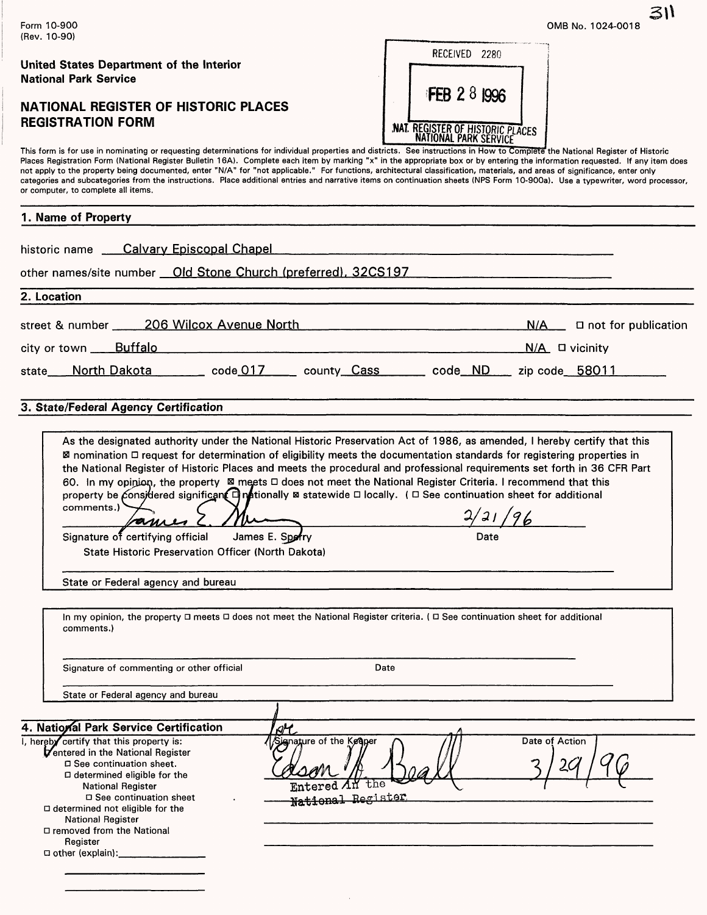|                                                                                                                                                                                                                                                                                                                                                                                                                                                                                                                                                                                                                                                                                                                                                                                  | 31)                                                                                     |
|----------------------------------------------------------------------------------------------------------------------------------------------------------------------------------------------------------------------------------------------------------------------------------------------------------------------------------------------------------------------------------------------------------------------------------------------------------------------------------------------------------------------------------------------------------------------------------------------------------------------------------------------------------------------------------------------------------------------------------------------------------------------------------|-----------------------------------------------------------------------------------------|
| Form 10-900<br>(Rev. 10-90)                                                                                                                                                                                                                                                                                                                                                                                                                                                                                                                                                                                                                                                                                                                                                      | OMB No. 1024-0018                                                                       |
| United States Department of the Interior<br><b>National Park Service</b>                                                                                                                                                                                                                                                                                                                                                                                                                                                                                                                                                                                                                                                                                                         | RECEIVED 2280                                                                           |
| <b>NATIONAL REGISTER OF HISTORIC PLACES</b><br><b>REGISTRATION FORM</b>                                                                                                                                                                                                                                                                                                                                                                                                                                                                                                                                                                                                                                                                                                          | <b>FEB 2 8 1996</b><br>NAT. REGISTER OF HISTORIC PLACES<br><b>NATIONAL PARK SERVICE</b> |
| This form is for use in nominating or requesting determinations for individual properties and districts. See instructions in How to Complete the National Register of Historic<br>Places Registration Form (National Register Bulletin 16A). Complete each item by marking "x" in the appropriate box or by entering the information requested. If any item does<br>not apply to the property being documented, enter "N/A" for "not applicable." For functions, architectural classification, materials, and areas of significance, enter only<br>categories and subcategories from the instructions. Place additional entries and narrative items on continuation sheets (NPS Form 10-900a). Use a typewriter, word processor,<br>or computer, to complete all items.          |                                                                                         |
| 1. Name of Property                                                                                                                                                                                                                                                                                                                                                                                                                                                                                                                                                                                                                                                                                                                                                              |                                                                                         |
| historic name ____ Calvary Episcopal Chapel                                                                                                                                                                                                                                                                                                                                                                                                                                                                                                                                                                                                                                                                                                                                      |                                                                                         |
| other names/site number __ Old Stone Church (preferred), 32CS197                                                                                                                                                                                                                                                                                                                                                                                                                                                                                                                                                                                                                                                                                                                 |                                                                                         |
| 2. Location                                                                                                                                                                                                                                                                                                                                                                                                                                                                                                                                                                                                                                                                                                                                                                      |                                                                                         |
| street & number 206 Wilcox Avenue North                                                                                                                                                                                                                                                                                                                                                                                                                                                                                                                                                                                                                                                                                                                                          | N/A<br>$\Box$ not for publication                                                       |
| city or town Buffalo                                                                                                                                                                                                                                                                                                                                                                                                                                                                                                                                                                                                                                                                                                                                                             | $N/A$ $\Box$ vicinity                                                                   |
| North Dakota _______ code_017 _____ county Cass ______ code ND ____ zip code 58011<br>state                                                                                                                                                                                                                                                                                                                                                                                                                                                                                                                                                                                                                                                                                      |                                                                                         |
| 3. State/Federal Agency Certification                                                                                                                                                                                                                                                                                                                                                                                                                                                                                                                                                                                                                                                                                                                                            |                                                                                         |
| As the designated authority under the National Historic Preservation Act of 1986, as amended, I hereby certify that this<br>⊠ nomination □ request for determination of eligibility meets the documentation standards for registering properties in<br>the National Register of Historic Places and meets the procedural and professional requirements set forth in 36 CFR Part<br>60. In my opinion, the property ⊠ meets □ does not meet the National Register Criteria. I recommend that this<br>property be considered significant $\Box$ mationally $\boxtimes$ statewide $\Box$ locally. ( $\Box$ See continuation sheet for additional<br>comments.)<br>ames<br>Signature of certifying official<br>James E. Sporry<br>State Historic Preservation Officer (North Dakota) | 2/21/96<br>Date                                                                         |
| State or Federal agency and bureau                                                                                                                                                                                                                                                                                                                                                                                                                                                                                                                                                                                                                                                                                                                                               |                                                                                         |
| In my opinion, the property □ meets □ does not meet the National Register criteria. ( □ See continuation sheet for additional<br>comments.)                                                                                                                                                                                                                                                                                                                                                                                                                                                                                                                                                                                                                                      |                                                                                         |
| Signature of commenting or other official<br>Date                                                                                                                                                                                                                                                                                                                                                                                                                                                                                                                                                                                                                                                                                                                                |                                                                                         |
| State or Federal agency and bureau                                                                                                                                                                                                                                                                                                                                                                                                                                                                                                                                                                                                                                                                                                                                               |                                                                                         |
| 4. National Park Service Certification<br>$\beta$ <sup>H</sup>                                                                                                                                                                                                                                                                                                                                                                                                                                                                                                                                                                                                                                                                                                                   |                                                                                         |
| I, hereby certify that this property is:<br>Signature of the Kegper<br>Ventered in the National Register<br>□ See continuation sheet.<br>□ determined eligible for the<br>the<br><b>National Register</b><br>□ See continuation sheet<br>National Register<br>$\Box$ determined not eligible for the<br>National Register<br>□ removed from the National<br>Register                                                                                                                                                                                                                                                                                                                                                                                                             | Date of Action<br>2 <sub>c</sub>                                                        |

 $\bar{\gamma}$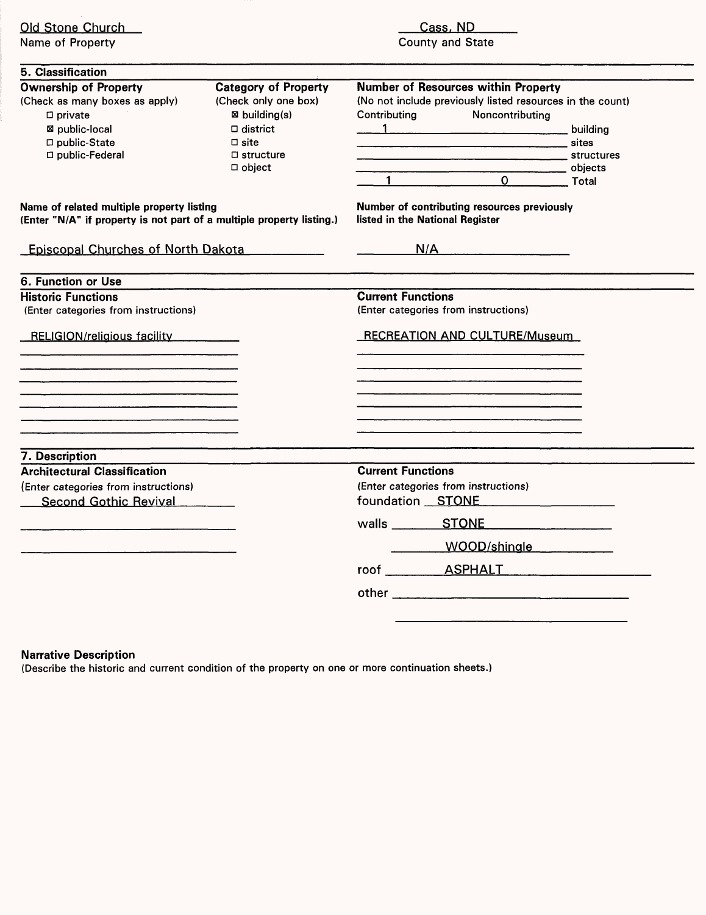| Old Stone Church<br>Name of Property                                                                                                     |                                                                                                                                                   | Cass, ND<br>County and State                                                                                                                                                 |  |  |  |  |  |  |
|------------------------------------------------------------------------------------------------------------------------------------------|---------------------------------------------------------------------------------------------------------------------------------------------------|------------------------------------------------------------------------------------------------------------------------------------------------------------------------------|--|--|--|--|--|--|
| 5. Classification                                                                                                                        |                                                                                                                                                   |                                                                                                                                                                              |  |  |  |  |  |  |
| <b>Ownership of Property</b><br>(Check as many boxes as apply)<br>$\Box$ private<br>⊠ public-local<br>□ public-State<br>□ public-Federal | <b>Category of Property</b><br>(Check only one box)<br>⊠ building(s)<br>$\Box$ district<br>$\square$ site<br>$\square$ structure<br>$\Box$ object | <b>Number of Resources within Property</b><br>(No not include previously listed resources in the count)<br>Contributing<br>Noncontributing<br><u>1 building</u><br>1 0 Total |  |  |  |  |  |  |
| Name of related multiple property listing<br>(Enter "N/A" if property is not part of a multiple property listing.)                       |                                                                                                                                                   | Number of contributing resources previously<br>listed in the National Register                                                                                               |  |  |  |  |  |  |
| Episcopal Churches of North Dakota                                                                                                       |                                                                                                                                                   | N/A                                                                                                                                                                          |  |  |  |  |  |  |
| 6. Function or Use                                                                                                                       |                                                                                                                                                   |                                                                                                                                                                              |  |  |  |  |  |  |
| <b>Historic Functions</b>                                                                                                                |                                                                                                                                                   | <b>Current Functions</b>                                                                                                                                                     |  |  |  |  |  |  |
| (Enter categories from instructions)                                                                                                     |                                                                                                                                                   | (Enter categories from instructions)                                                                                                                                         |  |  |  |  |  |  |
| RELIGION/religious facility                                                                                                              |                                                                                                                                                   | RECREATION AND CULTURE/Museum                                                                                                                                                |  |  |  |  |  |  |
|                                                                                                                                          |                                                                                                                                                   |                                                                                                                                                                              |  |  |  |  |  |  |
|                                                                                                                                          |                                                                                                                                                   |                                                                                                                                                                              |  |  |  |  |  |  |
|                                                                                                                                          |                                                                                                                                                   |                                                                                                                                                                              |  |  |  |  |  |  |
| 7. Description                                                                                                                           |                                                                                                                                                   |                                                                                                                                                                              |  |  |  |  |  |  |
| <b>Architectural Classification</b>                                                                                                      |                                                                                                                                                   | <b>Current Functions</b>                                                                                                                                                     |  |  |  |  |  |  |
| (Enter categories from instructions)<br>Second Gothic Revival                                                                            |                                                                                                                                                   | (Enter categories from instructions)<br>foundation STONE                                                                                                                     |  |  |  |  |  |  |
|                                                                                                                                          |                                                                                                                                                   |                                                                                                                                                                              |  |  |  |  |  |  |
|                                                                                                                                          |                                                                                                                                                   | WOOD/shingle                                                                                                                                                                 |  |  |  |  |  |  |
|                                                                                                                                          |                                                                                                                                                   |                                                                                                                                                                              |  |  |  |  |  |  |
|                                                                                                                                          |                                                                                                                                                   |                                                                                                                                                                              |  |  |  |  |  |  |
|                                                                                                                                          |                                                                                                                                                   |                                                                                                                                                                              |  |  |  |  |  |  |

# **Narrative Description**

(Describe the historic and current condition of the property on one or more continuation sheets.)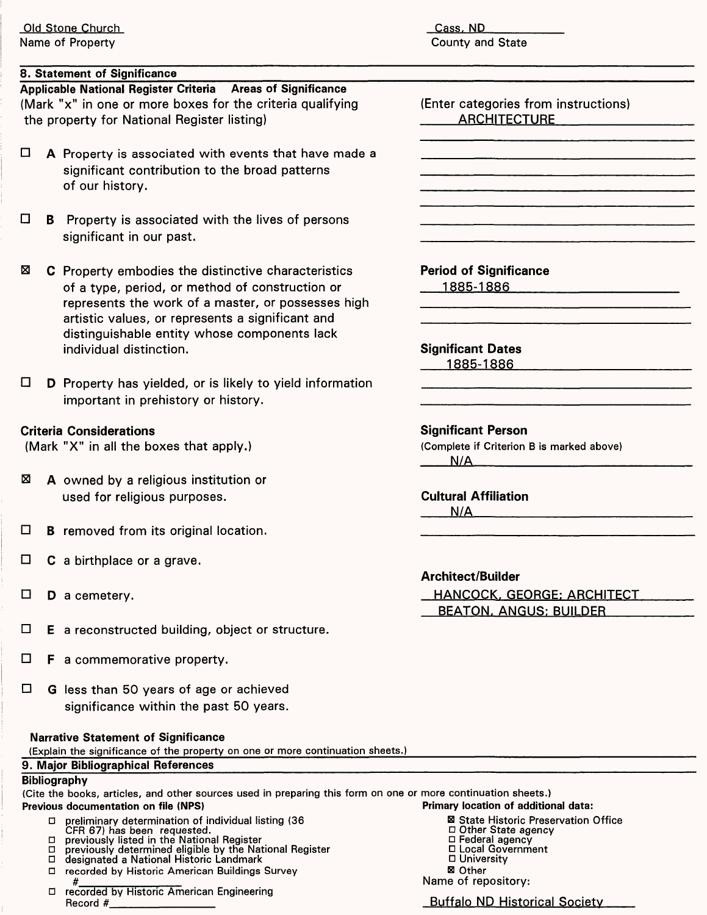Cass. ND County and State

# **8. Statement of Significance**

**Applicable National Register Criteria Areas of Significance** (Mark "x" in one or more boxes for the criteria qualifying the property for National Register listing)

- $\Box$  A Property is associated with events that have made a significant contribution to the broad patterns of our history.
- $\Box$  **B** Property is associated with the lives of persons significant in our past.
- $\boxtimes$  C Property embodies the distinctive characteristics of a type, period, or method of construction or represents the work of a master, or possesses high artistic values, or represents a significant and distinguishable entity whose components lack individual distinction.
- $\Box$  **D** Property has yielded, or is likely to yield information important in prehistory or history.

# **Criteria Considerations**

(Mark "X" in all the boxes that apply.)

- $\boxtimes$  **A** owned by a religious institution or used for religious purposes.
- $\Box$  **B** removed from its original location.
- $\Box$  **C** a birthplace or a grave.
- $\square$  **D** a cemetery.
- $\Box$  **E** a reconstructed building, object or structure.
- $\Box$  **F** a commemorative property.
- $\Box$  G less than 50 years of age or achieved significance within the past 50 years.

#### **Narrative Statement of Significance**

(Explain the significance of the property on one or more continuation sheets.)

#### **9. Major Bibliographical References**

# **Bibliography**

(Cite the books, articles, and other sources used in preparing this form on one or more continuation sheets.) **Previous documentation on file (NFS) Primary location of additional data:**

- D preliminary determination of individual listing (36 B B State Historic Preservation Office<br>CFR 67) has been requested. CFR 67) has been requested. CFR 67) has been requested. D Other State agency
- $\Box$  previously listed in the National Register  $\Box$  Federal agency
- D previously determined eligible by the National Register D Local Government
- D designated a National Historic Landmark
- □ recorded by Historic American Buildings Survey
- # D recorded by Historic American Engineering Record #\_\_\_\_\_\_\_\_\_\_\_\_ Buffalo ND Historical Society

(Enter categories from instructions) **ARCHITECTURE** 

**Period of Significance** 1885-1886

**Significant Dates** 1885-1886

#### **Significant Person**

(Complete if Criterion B is marked above)  $N/A$ 

**Cultural Affiliation**  $N/A$ 

# **Architect/Builder**

HANCOCK. GEORGE: ARCHITECT BEATQN. ANGUS: BUILDER

- 
- 
- D University
- El Other

Name of repository: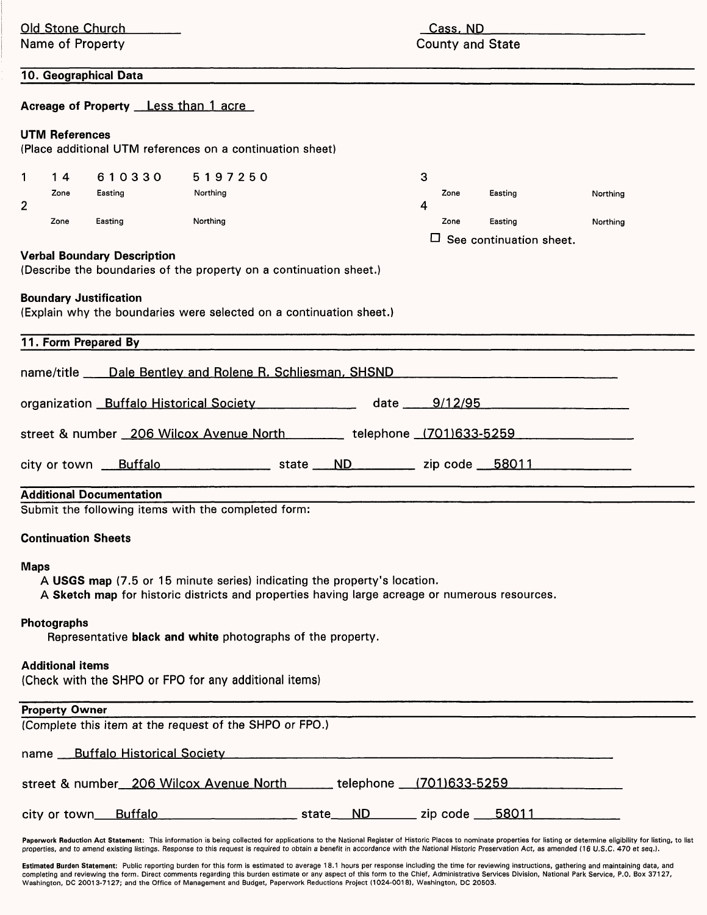| <b>Old Stone Church</b>       |                                                       |                                                                                                                                                                                                                                                                                                                                                                                                                             | Cass, ND |                                                                                                 |                         |              |                                                      |  |                      |  |
|-------------------------------|-------------------------------------------------------|-----------------------------------------------------------------------------------------------------------------------------------------------------------------------------------------------------------------------------------------------------------------------------------------------------------------------------------------------------------------------------------------------------------------------------|----------|-------------------------------------------------------------------------------------------------|-------------------------|--------------|------------------------------------------------------|--|----------------------|--|
| Name of Property              |                                                       |                                                                                                                                                                                                                                                                                                                                                                                                                             |          |                                                                                                 | <b>County and State</b> |              |                                                      |  |                      |  |
|                               | 10. Geographical Data                                 |                                                                                                                                                                                                                                                                                                                                                                                                                             |          |                                                                                                 |                         |              |                                                      |  |                      |  |
|                               | Acreage of Property Less than 1 acre                  |                                                                                                                                                                                                                                                                                                                                                                                                                             |          |                                                                                                 |                         |              |                                                      |  |                      |  |
| <b>UTM References</b>         |                                                       | (Place additional UTM references on a continuation sheet)                                                                                                                                                                                                                                                                                                                                                                   |          |                                                                                                 |                         |              |                                                      |  |                      |  |
| 14<br>1.<br>Zone<br>2<br>Zone | 610330<br>Easting<br>Easting                          | 5197250<br>Northing<br>Northing                                                                                                                                                                                                                                                                                                                                                                                             |          |                                                                                                 | 3<br>4                  | Zone<br>Zone | Easting<br>Easting<br>$\Box$ See continuation sheet. |  | Northing<br>Northing |  |
|                               | <b>Verbal Boundary Description</b>                    | (Describe the boundaries of the property on a continuation sheet.)                                                                                                                                                                                                                                                                                                                                                          |          |                                                                                                 |                         |              |                                                      |  |                      |  |
|                               | <b>Boundary Justification</b><br>11. Form Prepared By | (Explain why the boundaries were selected on a continuation sheet.)                                                                                                                                                                                                                                                                                                                                                         |          |                                                                                                 |                         |              |                                                      |  |                      |  |
|                               |                                                       | name/title ____ Dale Bentley and Rolene R. Schliesman, SHSND                                                                                                                                                                                                                                                                                                                                                                |          |                                                                                                 |                         |              |                                                      |  |                      |  |
|                               |                                                       | organization Buffalo Historical Society                                                                                                                                                                                                                                                                                                                                                                                     |          | $date$ <sub>___</sub>                                                                           |                         | 9/12/95      |                                                      |  |                      |  |
|                               |                                                       |                                                                                                                                                                                                                                                                                                                                                                                                                             |          |                                                                                                 |                         |              |                                                      |  |                      |  |
|                               |                                                       | street & number 206 Wilcox Avenue North ________ telephone (701)633-5259                                                                                                                                                                                                                                                                                                                                                    |          |                                                                                                 |                         |              |                                                      |  |                      |  |
|                               |                                                       | city or town <u>Buffalo _____________</u> state <u>ND________</u> zip code 58011 ________                                                                                                                                                                                                                                                                                                                                   |          |                                                                                                 |                         |              |                                                      |  |                      |  |
|                               | <b>Additional Documentation</b>                       | Submit the following items with the completed form:                                                                                                                                                                                                                                                                                                                                                                         |          |                                                                                                 |                         |              |                                                      |  |                      |  |
| <b>Continuation Sheets</b>    |                                                       |                                                                                                                                                                                                                                                                                                                                                                                                                             |          |                                                                                                 |                         |              |                                                      |  |                      |  |
| <b>Maps</b>                   |                                                       | A USGS map (7.5 or 15 minute series) indicating the property's location.<br>A Sketch map for historic districts and properties having large acreage or numerous resources.                                                                                                                                                                                                                                                  |          |                                                                                                 |                         |              |                                                      |  |                      |  |
| Photographs                   |                                                       | Representative black and white photographs of the property.                                                                                                                                                                                                                                                                                                                                                                 |          |                                                                                                 |                         |              |                                                      |  |                      |  |
| <b>Additional items</b>       |                                                       | (Check with the SHPO or FPO for any additional items)                                                                                                                                                                                                                                                                                                                                                                       |          |                                                                                                 |                         |              |                                                      |  |                      |  |
| <b>Property Owner</b>         |                                                       | (Complete this item at the request of the SHPO or FPO.)                                                                                                                                                                                                                                                                                                                                                                     |          |                                                                                                 |                         |              |                                                      |  |                      |  |
|                               | name Buffalo Historical Society                       |                                                                                                                                                                                                                                                                                                                                                                                                                             |          | the contract of the contract of the contract of the contract of the contract of the contract of |                         |              |                                                      |  |                      |  |
|                               |                                                       | street & number 206 Wilcox Avenue North ______ telephone __ (701)633-5259                                                                                                                                                                                                                                                                                                                                                   |          |                                                                                                 |                         |              |                                                      |  |                      |  |
| city or town_                 | <b>Buffalo</b>                                        |                                                                                                                                                                                                                                                                                                                                                                                                                             |          |                                                                                                 |                         |              | 58011                                                |  |                      |  |
|                               |                                                       | Paperwork Reduction Act Statement: This information is being collected for applications to the National Register of Historic Places to nominate properties for listing or determine eligibility for listing, to list<br>properties, and to amend existing listings. Response to this request is required to obtain a benefit in accordance with the National Historic Preservation Act, as amended (16 U.S.C. 470 et seq.). |          |                                                                                                 |                         |              |                                                      |  |                      |  |

**Estimated Burden Statement**: Public reporting burden for this form is estimated to average 18.1 hours per response including the time for reviewing instructions, gathering and maintaining data, and<br>completing and reviewin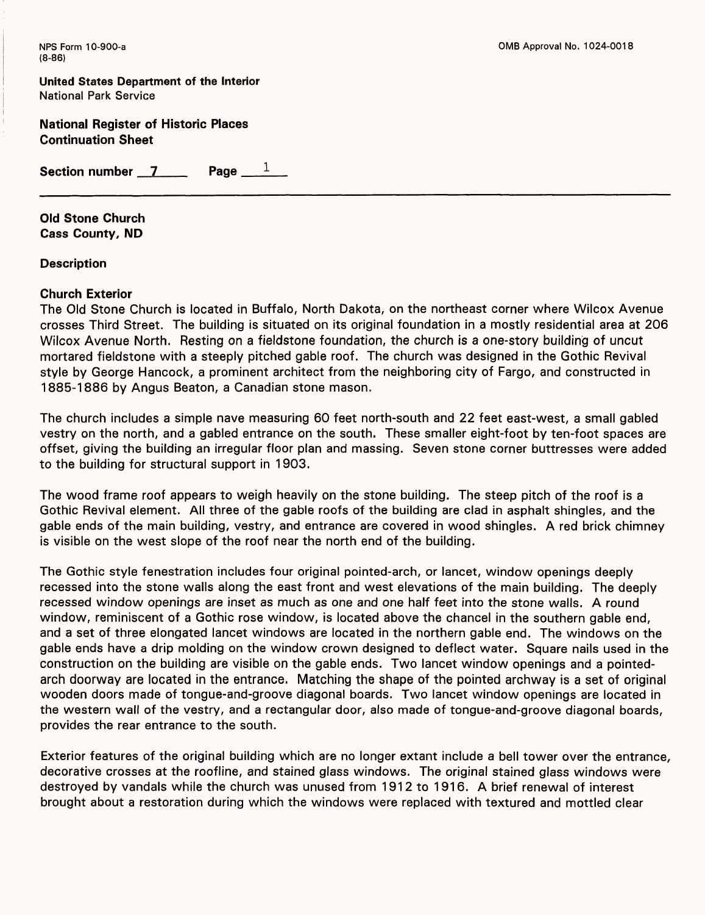**United States Department of the Interior** National Park Service

**National Register of Historic Places Continuation Sheet**

Section number 7 Page 1

**Old Stone Church Cass County, ND**

**Description**

# **Church Exterior**

The Old Stone Church is located in Buffalo, North Dakota, on the northeast corner where Wilcox Avenue crosses Third Street. The building is situated on its original foundation in a mostly residential area at 206 Wilcox Avenue North. Resting on a fieldstone foundation, the church is a one-story building of uncut mortared fieldstone with a steeply pitched gable roof. The church was designed in the Gothic Revival style by George Hancock, a prominent architect from the neighboring city of Fargo, and constructed in 1885-1886 by Angus Beaton, a Canadian stone mason.

The church includes a simple nave measuring 60 feet north-south and 22 feet east-west, a small gabled vestry on the north, and a gabled entrance on the south. These smaller eight-foot by ten-foot spaces are offset, giving the building an irregular floor plan and massing. Seven stone corner buttresses were added to the building for structural support in 1903.

The wood frame roof appears to weigh heavily on the stone building. The steep pitch of the roof is a Gothic Revival element. All three of the gable roofs of the building are clad in asphalt shingles, and the gable ends of the main building, vestry, and entrance are covered in wood shingles. A red brick chimney is visible on the west slope of the roof near the north end of the building.

The Gothic style fenestration includes four original pointed-arch, or lancet, window openings deeply recessed into the stone walls along the east front and west elevations of the main building. The deeply recessed window openings are inset as much as one and one half feet into the stone walls. A round window, reminiscent of a Gothic rose window, is located above the chancel in the southern gable end, and a set of three elongated lancet windows are located in the northern gable end. The windows on the gable ends have a drip molding on the window crown designed to deflect water. Square nails used in the construction on the building are visible on the gable ends. Two lancet window openings and a pointedarch doorway are located in the entrance. Matching the shape of the pointed archway is a set of original wooden doors made of tongue-and-groove diagonal boards. Two lancet window openings are located in the western wall of the vestry, and a rectangular door, also made of tongue-and-groove diagonal boards, provides the rear entrance to the south.

Exterior features of the original building which are no longer extant include a bell tower over the entrance, decorative crosses at the roofline, and stained glass windows. The original stained glass windows were destroyed by vandals while the church was unused from 1912 to 1916. A brief renewal of interest brought about a restoration during which the windows were replaced with textured and mottled clear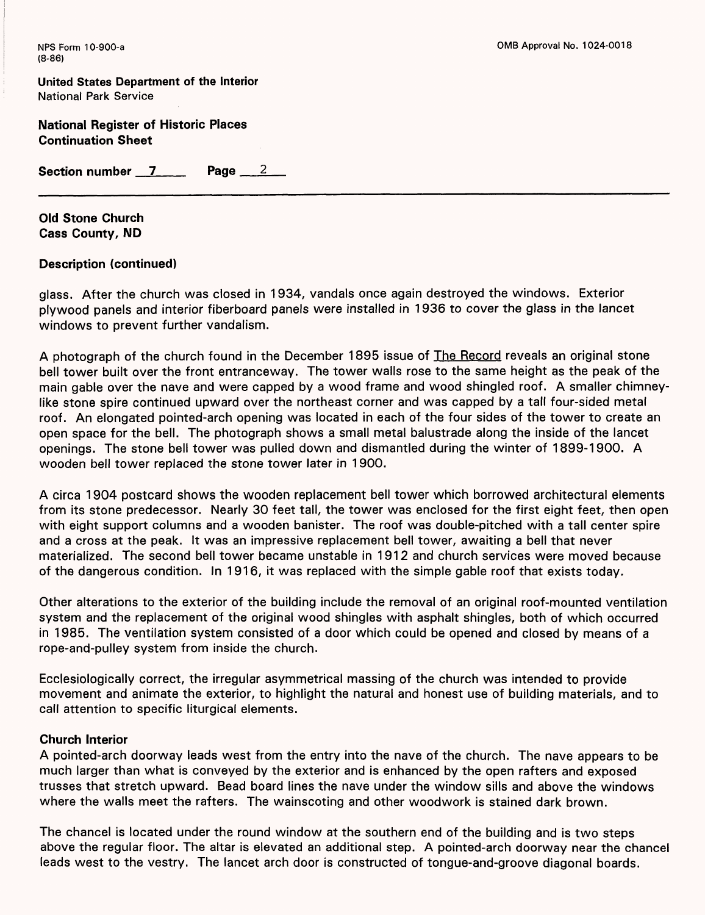**United States Department of the Interior** National Park Service

**National Register of Historic Places Continuation Sheet**

Section number 7 Page 2

**Old Stone Church Cass County, ND**

# **Description (continued)**

glass. After the church was closed in 1934, vandals once again destroyed the windows. Exterior plywood panels and interior fiberboard panels were installed in 1936 to cover the glass in the lancet windows to prevent further vandalism.

A photograph of the church found in the December 1895 issue of The Record reveals an original stone bell tower built over the front entranceway. The tower walls rose to the same height as the peak of the main gable over the nave and were capped by a wood frame and wood shingled roof. A smaller chimneylike stone spire continued upward over the northeast corner and was capped by a tall four-sided metal roof. An elongated pointed-arch opening was located in each of the four sides of the tower to create an open space for the bell. The photograph shows a small metal balustrade along the inside of the lancet openings. The stone bell tower was pulled down and dismantled during the winter of 1899-1900. A wooden bell tower replaced the stone tower later in 1900.

A circa 1904 postcard shows the wooden replacement bell tower which borrowed architectural elements from its stone predecessor. Nearly 30 feet tall, the tower was enclosed for the first eight feet, then open with eight support columns and a wooden banister. The roof was double-pitched with a tall center spire and a cross at the peak. It was an impressive replacement bell tower, awaiting a bell that never materialized. The second bell tower became unstable in 1912 and church services were moved because of the dangerous condition. In 1916, it was replaced with the simple gable roof that exists today.

Other alterations to the exterior of the building include the removal of an original roof-mounted ventilation system and the replacement of the original wood shingles with asphalt shingles, both of which occurred in 1985. The ventilation system consisted of a door which could be opened and closed by means of a rope-and-pulley system from inside the church.

Ecclesiologically correct, the irregular asymmetrical massing of the church was intended to provide movement and animate the exterior, to highlight the natural and honest use of building materials, and to call attention to specific liturgical elements.

#### **Church Interior**

A pointed-arch doorway leads west from the entry into the nave of the church. The nave appears to be much larger than what is conveyed by the exterior and is enhanced by the open rafters and exposed trusses that stretch upward. Bead board lines the nave under the window sills and above the windows where the walls meet the rafters. The wainscoting and other woodwork is stained dark brown.

The chancel is located under the round window at the southern end of the building and is two steps above the regular floor. The altar is elevated an additional step. A pointed-arch doorway near the chancel leads west to the vestry. The lancet arch door is constructed of tongue-and-groove diagonal boards.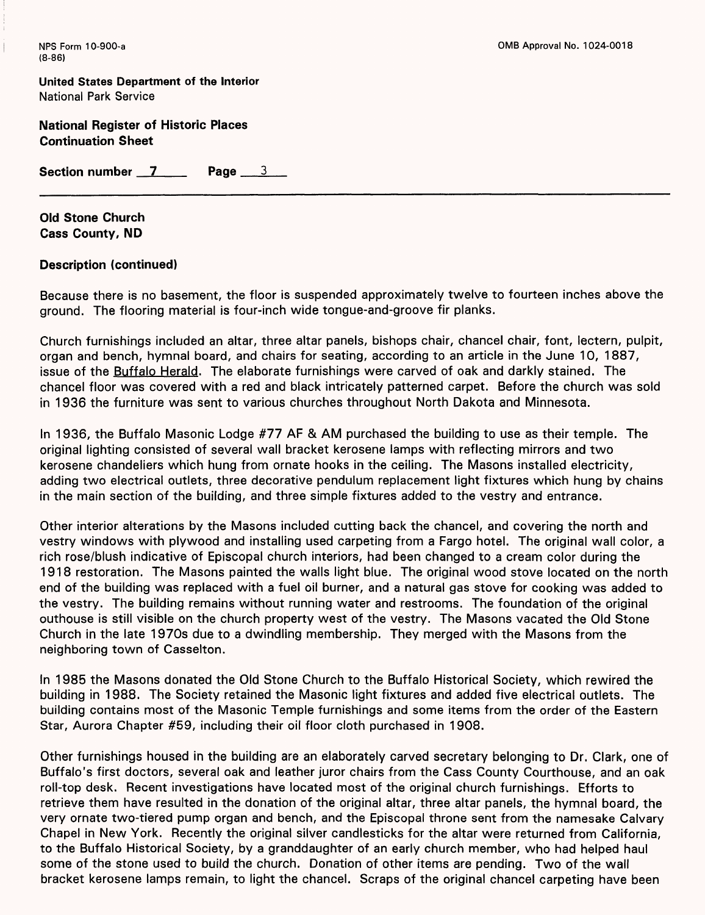**United States Department of the Interior** National Park Service

**National Register of Historic Places Continuation Sheet**

Section number 7 Page 3

**Old Stone Church Cass County, ND**

#### **Description (continued)**

Because there is no basement, the floor is suspended approximately twelve to fourteen inches above the ground. The flooring material is four-inch wide tongue-and-groove fir planks.

Church furnishings included an altar, three altar panels, bishops chair, chancel chair, font, lectern, pulpit, organ and bench, hymnal board, and chairs for seating, according to an article in the June 10, 1887, issue of the Buffalo Herald. The elaborate furnishings were carved of oak and darkly stained. The chancel floor was covered with a red and black intricately patterned carpet. Before the church was sold in 1936 the furniture was sent to various churches throughout North Dakota and Minnesota.

In 1936, the Buffalo Masonic Lodge #77 AF & AM purchased the building to use as their temple. The original lighting consisted of several wall bracket kerosene lamps with reflecting mirrors and two kerosene chandeliers which hung from ornate hooks in the ceiling. The Masons installed electricity, adding two electrical outlets, three decorative pendulum replacement light fixtures which hung by chains in the main section of the building, and three simple fixtures added to the vestry and entrance.

Other interior alterations by the Masons included cutting back the chancel, and covering the north and vestry windows with plywood and installing used carpeting from a Fargo hotel. The original wall color, a rich rose/blush indicative of Episcopal church interiors, had been changed to a cream color during the 1918 restoration. The Masons painted the walls light blue. The original wood stove located on the north end of the building was replaced with a fuel oil burner, and a natural gas stove for cooking was added to the vestry. The building remains without running water and restrooms. The foundation of the original outhouse is still visible on the church property west of the vestry. The Masons vacated the Old Stone Church in the late 1970s due to a dwindling membership. They merged with the Masons from the neighboring town of Casselton.

In 1985 the Masons donated the Old Stone Church to the Buffalo Historical Society, which rewired the building in 1988. The Society retained the Masonic light fixtures and added five electrical outlets. The building contains most of the Masonic Temple furnishings and some items from the order of the Eastern Star, Aurora Chapter #59, including their oil floor cloth purchased in 1908.

Other furnishings housed in the building are an elaborately carved secretary belonging to Dr. Clark, one of Buffalo's first doctors, several oak and leather juror chairs from the Cass County Courthouse, and an oak roll-top desk. Recent investigations have located most of the original church furnishings. Efforts to retrieve them have resulted in the donation of the original altar, three altar panels, the hymnal board, the very ornate two-tiered pump organ and bench, and the Episcopal throne sent from the namesake Calvary Chapel in New York. Recently the original silver candlesticks for the altar were returned from California, to the Buffalo Historical Society, by a granddaughter of an early church member, who had helped haul some of the stone used to build the church. Donation of other items are pending. Two of the wall bracket kerosene lamps remain, to light the chancel. Scraps of the original chancel carpeting have been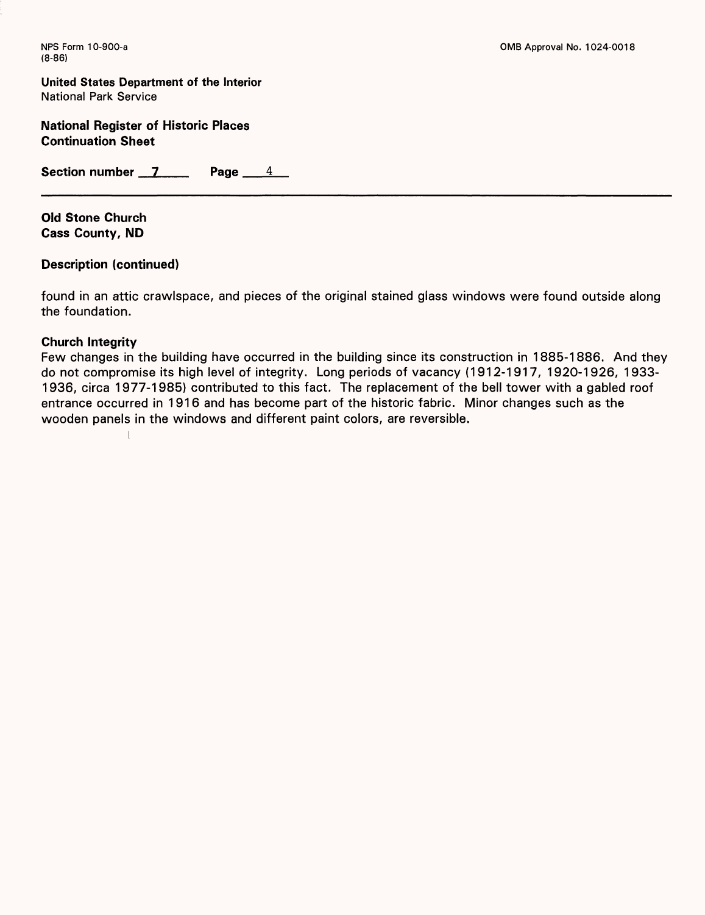**United States Department of the Interior** National Park Service

**National Register of Historic Places Continuation Sheet**

**Section number 7 Page 4** 

**Old Stone Church Cass County, ND**

# **Description (continued)**

 $\overline{1}$ 

found in an attic crawlspace, and pieces of the original stained glass windows were found outside along the foundation.

#### **Church Integrity**

Few changes in the building have occurred in the building since its construction in 1885-1886. And they do not compromise its high level of integrity. Long periods of vacancy (1912-1917, 1920-1926, 1933- 1936, circa 1977-1985) contributed to this fact. The replacement of the bell tower with a gabled roof entrance occurred in 1916 and has become part of the historic fabric. Minor changes such as the wooden panels in the windows and different paint colors, are reversible.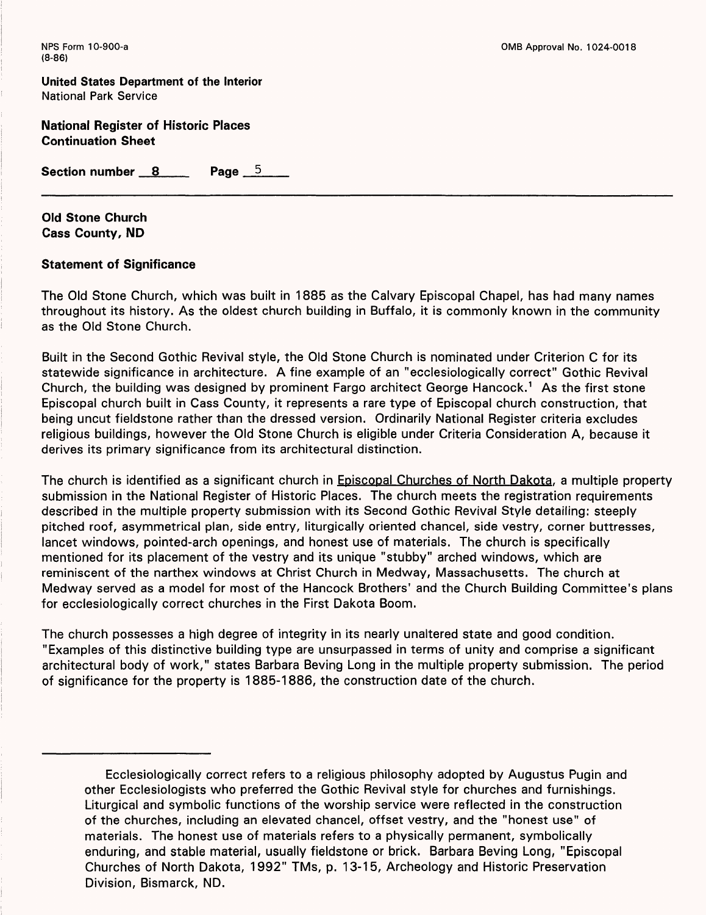**United States Department of the Interior** National Park Service

**National Register of Historic Places Continuation Sheet**

**Section number 8 Page 5 Page 5** 

**Old Stone Church Cass County, ND**

# **Statement of Significance**

The Old Stone Church, which was built in 1885 as the Calvary Episcopal Chapel, has had many names throughout its history. As the oldest church building in Buffalo, it is commonly known in the community as the Old Stone Church.

Built in the Second Gothic Revival style, the Old Stone Church is nominated under Criterion C for its statewide significance in architecture. A fine example of an "ecclesiologically correct" Gothic Revival Church, the building was designed by prominent Fargo architect George Hancock.<sup>1</sup> As the first stone Episcopal church built in Cass County, it represents a rare type of Episcopal church construction, that being uncut fieldstone rather than the dressed version. Ordinarily National Register criteria excludes religious buildings, however the Old Stone Church is eligible under Criteria Consideration A, because it derives its primary significance from its architectural distinction.

The church is identified as a significant church in Episcopal Churches of North Dakota, a multiple property submission in the National Register of Historic Places. The church meets the registration requirements described in the multiple property submission with its Second Gothic Revival Style detailing: steeply pitched roof, asymmetrical plan, side entry, liturgically oriented chancel, side vestry, corner buttresses, lancet windows, pointed-arch openings, and honest use of materials. The church is specifically mentioned for its placement of the vestry and its unique "stubby" arched windows, which are reminiscent of the narthex windows at Christ Church in Medway, Massachusetts. The church at Medway served as a model for most of the Hancock Brothers' and the Church Building Committee's plans for ecclesiologically correct churches in the First Dakota Boom.

The church possesses a high degree of integrity in its nearly unaltered state and good condition. "Examples of this distinctive building type are unsurpassed in terms of unity and comprise a significant architectural body of work," states Barbara Beving Long in the multiple property submission. The period of significance for the property is 1885-1886, the construction date of the church.

Ecclesiologically correct refers to a religious philosophy adopted by Augustus Pugin and other Ecclesiologists who preferred the Gothic Revival style for churches and furnishings. Liturgical and symbolic functions of the worship service were reflected in the construction of the churches, including an elevated chancel, offset vestry, and the "honest use" of materials. The honest use of materials refers to a physically permanent, symbolically enduring, and stable material, usually fieldstone or brick. Barbara Beving Long, "Episcopal Churches of North Dakota, 1992" TMs, p. 13-15, Archeology and Historic Preservation Division, Bismarck, ND.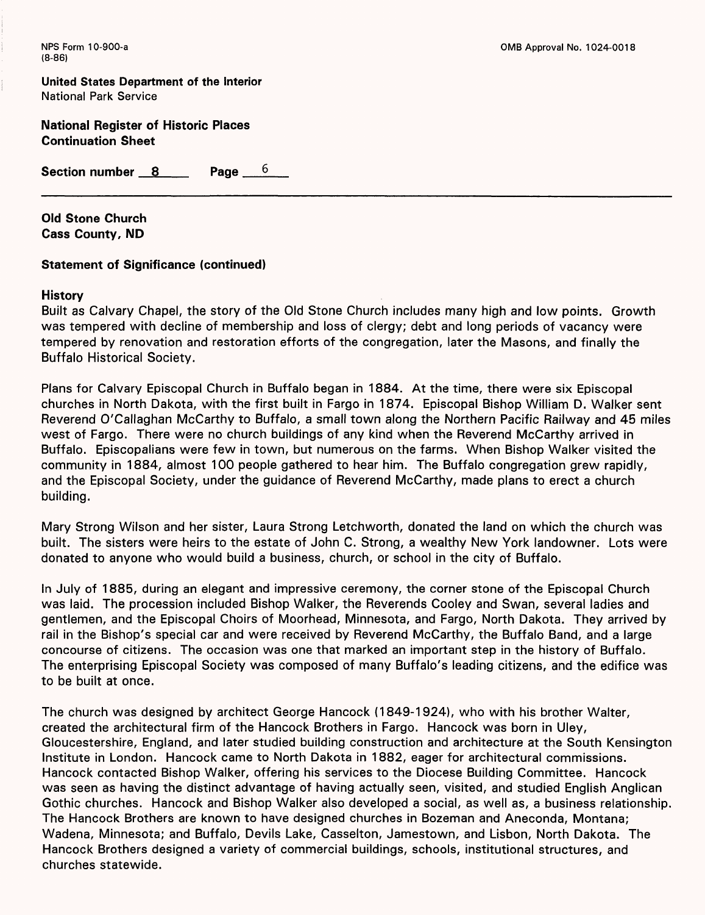**United States Department of the Interior** National Park Service

**National Register of Historic Places Continuation Sheet**

Section number 8 Page 6

**Old Stone Church Cass County, ND**

#### **Statement of Significance (continued)**

#### **History**

Built as Calvary Chapel, the story of the Old Stone Church includes many high and low points. Growth was tempered with decline of membership and loss of clergy; debt and long periods of vacancy were tempered by renovation and restoration efforts of the congregation, later the Masons, and finally the Buffalo Historical Society.

Plans for Calvary Episcopal Church in Buffalo began in 1884. At the time, there were six Episcopal churches in North Dakota, with the first built in Fargo in 1874. Episcopal Bishop William D. Walker sent Reverend O'Callaghan McCarthy to Buffalo, a small town along the Northern Pacific Railway and 45 miles west of Fargo. There were no church buildings of any kind when the Reverend McCarthy arrived in Buffalo. Episcopalians were few in town, but numerous on the farms. When Bishop Walker visited the community in 1884, almost 100 people gathered to hear him. The Buffalo congregation grew rapidly, and the Episcopal Society, under the guidance of Reverend McCarthy, made plans to erect a church building.

Mary Strong Wilson and her sister, Laura Strong Letchworth, donated the land on which the church was built. The sisters were heirs to the estate of John C. Strong, a wealthy New York landowner. Lots were donated to anyone who would build a business, church, or school in the city of Buffalo.

In July of 1885, during an elegant and impressive ceremony, the corner stone of the Episcopal Church was laid. The procession included Bishop Walker, the Reverends Cooley and Swan, several ladies and gentlemen, and the Episcopal Choirs of Moorhead, Minnesota, and Fargo, North Dakota. They arrived by rail in the Bishop's special car and were received by Reverend McCarthy, the Buffalo Band, and a large concourse of citizens. The occasion was one that marked an important step in the history of Buffalo. The enterprising Episcopal Society was composed of many Buffalo's leading citizens, and the edifice was to be built at once.

The church was designed by architect George Hancock (1849-1924), who with his brother Walter, created the architectural firm of the Hancock Brothers in Fargo. Hancock was born in Uley, Gloucestershire, England, and later studied building construction and architecture at the South Kensington Institute in London. Hancock came to North Dakota in 1882, eager for architectural commissions. Hancock contacted Bishop Walker, offering his services to the Diocese Building Committee. Hancock was seen as having the distinct advantage of having actually seen, visited, and studied English Anglican Gothic churches. Hancock and Bishop Walker also developed a social, as well as, a business relationship. The Hancock Brothers are known to have designed churches in Bozeman and Aneconda, Montana; Wadena, Minnesota; and Buffalo, Devils Lake, Casselton, Jamestown, and Lisbon, North Dakota. The Hancock Brothers designed a variety of commercial buildings, schools, institutional structures, and churches statewide.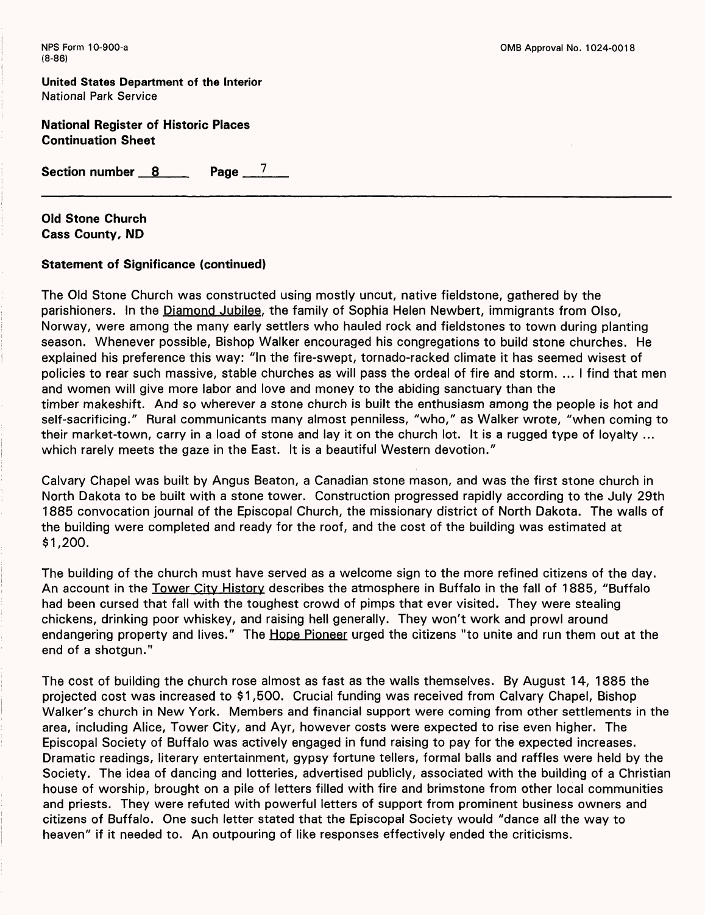**United States Department of the Interior** National Park Service

**National Register of Historic Places Continuation Sheet**

Section number 8 Page 7

**Old Stone Church Cass County, ND**

#### **Statement of Significance (continued)**

The Old Stone Church was constructed using mostly uncut, native fieldstone, gathered by the parishioners. In the Diamond Jubilee, the family of Sophia Helen Newbert, immigrants from Olso, Norway, were among the many early settlers who hauled rock and fieldstones to town during planting season. Whenever possible, Bishop Walker encouraged his congregations to build stone churches. He explained his preference this way: "In the fire-swept, tornado-racked climate it has seemed wisest of policies to rear such massive, stable churches as will pass the ordeal of fire and storm. ... I find that men and women will give more labor and love and money to the abiding sanctuary than the timber makeshift. And so wherever a stone church is built the enthusiasm among the people is hot and self-sacrificing." Rural communicants many almost penniless, "who," as Walker wrote, "when coming to their market-town, carry in a load of stone and lay it on the church lot. It is a rugged type of loyalty ... which rarely meets the gaze in the East. It is a beautiful Western devotion."

Calvary Chapel was built by Angus Beaton, a Canadian stone mason, and was the first stone church in North Dakota to be built with a stone tower. Construction progressed rapidly according to the July 29th 1885 convocation journal of the Episcopal Church, the missionary district of North Dakota. The walls of the building were completed and ready for the roof, and the cost of the building was estimated at \$1,200.

The building of the church must have served as a welcome sign to the more refined citizens of the day. An account in the Tower City History describes the atmosphere in Buffalo in the fall of 1885, "Buffalo had been cursed that fall with the toughest crowd of pimps that ever visited. They were stealing chickens, drinking poor whiskey, and raising hell generally. They won't work and prowl around endangering property and lives." The Hope Pioneer urged the citizens "to unite and run them out at the end of a shotgun."

The cost of building the church rose almost as fast as the walls themselves. By August 14, 1885 the projected cost was increased to \$1,500. Crucial funding was received from Calvary Chapel, Bishop Walker's church in New York. Members and financial support were coming from other settlements in the area, including Alice, Tower City, and Ayr, however costs were expected to rise even higher. The Episcopal Society of Buffalo was actively engaged in fund raising to pay for the expected increases. Dramatic readings, literary entertainment, gypsy fortune tellers, formal balls and raffles were held by the Society. The idea of dancing and lotteries, advertised publicly, associated with the building of a Christian house of worship, brought on a pile of letters filled with fire and brimstone from other local communities and priests. They were refuted with powerful letters of support from prominent business owners and citizens of Buffalo. One such letter stated that the Episcopal Society would "dance all the way to heaven" if it needed to. An outpouring of like responses effectively ended the criticisms.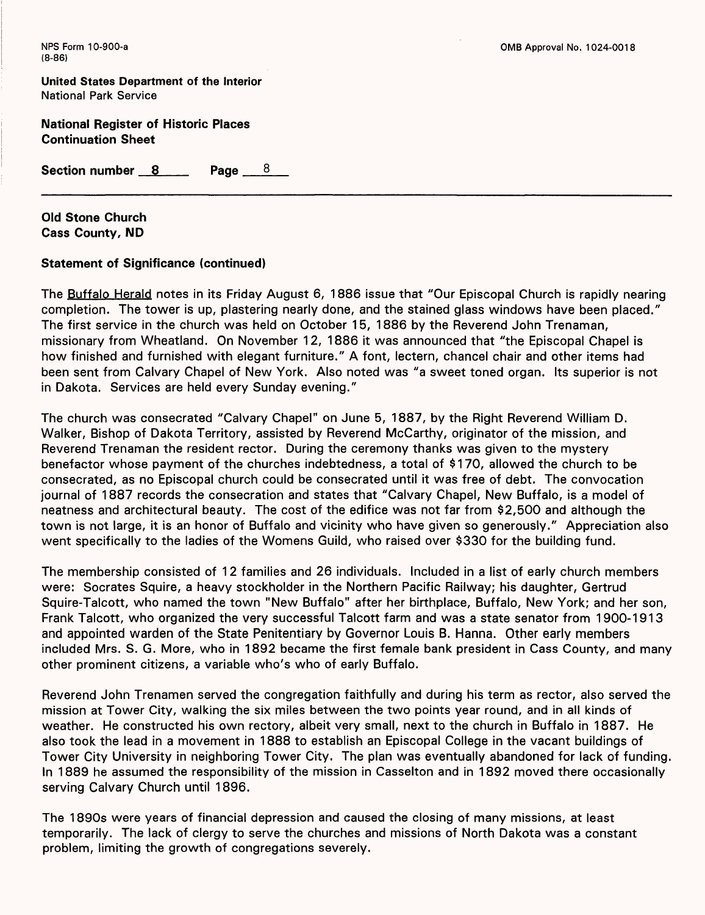**United States Department of the Interior** National Park Service

**National Register of Historic Places Continuation Sheet**

**Section number 8 Page 8**

**Old Stone Church Cass County, ND**

#### **Statement of Significance (continued)**

The Buffalo Herald notes in its Friday August 6, 1886 issue that "Our Episcopal Church is rapidly nearing completion. The tower is up, plastering nearly done, and the stained glass windows have been placed." The first service in the church was held on October 15, 1886 by the Reverend John Trenaman, missionary from Wheatland. On November 12, 1886 it was announced that "the Episcopal Chapel is how finished and furnished with elegant furniture." A font, lectern, chancel chair and other items had been sent from Calvary Chapel of New York. Also noted was "a sweet toned organ. Its superior is not in Dakota. Services are held every Sunday evening."

The church was consecrated "Calvary Chapel" on June 5, 1887, by the Right Reverend William D. Walker, Bishop of Dakota Territory, assisted by Reverend McCarthy, originator of the mission, and Reverend Trenaman the resident rector. During the ceremony thanks was given to the mystery benefactor whose payment of the churches indebtedness, a total of \$170, allowed the church to be consecrated, as no Episcopal church could be consecrated until it was free of debt. The convocation journal of 1887 records the consecration and states that "Calvary Chapel, New Buffalo, is a model of neatness and architectural beauty. The cost of the edifice was not far from \$2,500 and although the town is not large, it is an honor of Buffalo and vicinity who have given so generously." Appreciation also went specifically to the ladies of the Womens Guild, who raised over \$330 for the building fund.

The membership consisted of 12 families and 26 individuals. Included in a list of early church members were: Socrates Squire, a heavy stockholder in the Northern Pacific Railway; his daughter, Gertrud Squire-Talcott, who named the town "New Buffalo" after her birthplace, Buffalo, New York; and her son, Frank Talcott, who organized the very successful Talcott farm and was a state senator from 1900-1913 and appointed warden of the State Penitentiary by Governor Louis B. Hanna. Other early members included Mrs. S. G. More, who in 1892 became the first female bank president in Cass County, and many other prominent citizens, a variable who's who of early Buffalo.

Reverend John Trenamen served the congregation faithfully and during his term as rector, also served the mission at Tower City, walking the six miles between the two points year round, and in all kinds of weather. He constructed his own rectory, albeit very small, next to the church in Buffalo in 1887. He also took the lead in a movement in 1888 to establish an Episcopal College in the vacant buildings of Tower City University in neighboring Tower City. The plan was eventually abandoned for lack of funding. In 1889 he assumed the responsibility of the mission in Casselton and in 1892 moved there occasionally serving Calvary Church until 1896.

The 1890s were years of financial depression and caused the closing of many missions, at least temporarily. The lack of clergy to serve the churches and missions of North Dakota was a constant problem, limiting the growth of congregations severely.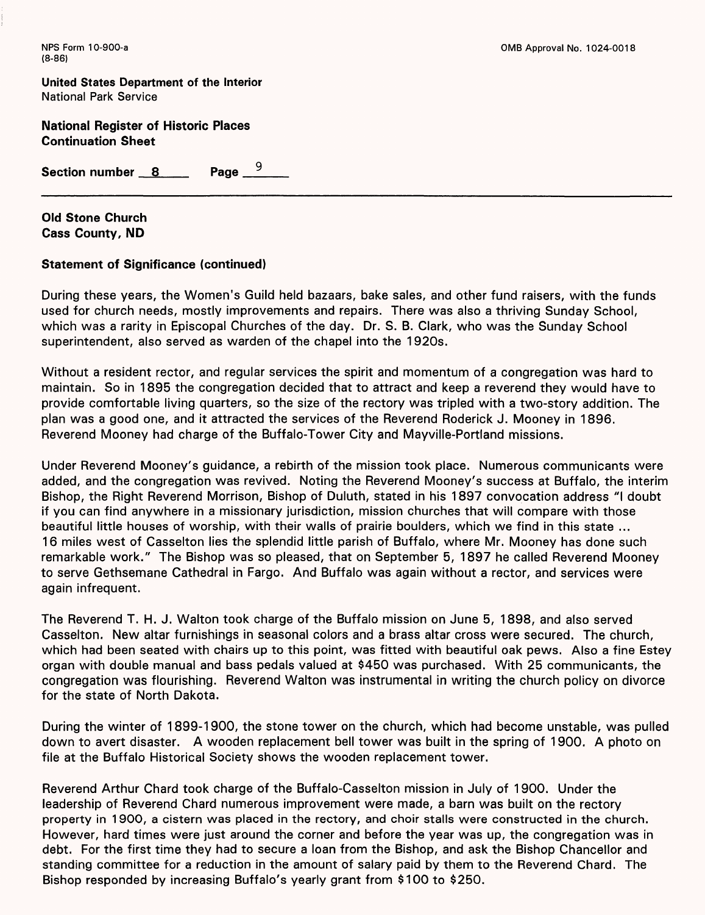**United States Department of the interior** National Park Service

**National Register of Historic Places Continuation Sheet**

Page  $-$ <sup>9</sup> **Section number 8 8 Page 10** 

**Old Stone Church Cass County, ND**

# **Statement of Significance (continued)**

During these years, the Women's Guild held bazaars, bake sales, and other fund raisers, with the funds used for church needs, mostly improvements and repairs. There was also a thriving Sunday School, which was a rarity in Episcopal Churches of the day. Dr. S. B. Clark, who was the Sunday School superintendent, also served as warden of the chapel into the 1920s.

Without a resident rector, and regular services the spirit and momentum of a congregation was hard to maintain. So in 1895 the congregation decided that to attract and keep a reverend they would have to provide comfortable living quarters, so the size of the rectory was tripled with a two-story addition. The plan was a good one, and it attracted the services of the Reverend Roderick J. Mooney in 1896. Reverend Mooney had charge of the Buffalo-Tower City and Mayville-Portland missions.

Under Reverend Mooney's guidance, a rebirth of the mission took place. Numerous communicants were added, and the congregation was revived. Noting the Reverend Mooney's success at Buffalo, the interim Bishop, the Right Reverend Morrison, Bishop of Duluth, stated in his 1897 convocation address "I doubt if you can find anywhere in a missionary jurisdiction, mission churches that will compare with those beautiful little houses of worship, with their walls of prairie boulders, which we find in this state ... 16 miles west of Casselton lies the splendid little parish of Buffalo, where Mr. Mooney has done such remarkable work." The Bishop was so pleased, that on September 5, 1897 he called Reverend Mooney to serve Gethsemane Cathedral in Fargo. And Buffalo was again without a rector, and services were again infrequent.

The Reverend T. H. J. Walton took charge of the Buffalo mission on June 5, 1898, and also served Casselton. New altar furnishings in seasonal colors and a brass altar cross were secured. The church, which had been seated with chairs up to this point, was fitted with beautiful oak pews. Also a fine Estey organ with double manual and bass pedals valued at \$450 was purchased. With 25 communicants, the congregation was flourishing. Reverend Walton was instrumental in writing the church policy on divorce for the state of North Dakota.

During the winter of 1899-1900, the stone tower on the church, which had become unstable, was pulled down to avert disaster. A wooden replacement bell tower was built in the spring of 1900. A photo on file at the Buffalo Historical Society shows the wooden replacement tower.

Reverend Arthur Chard took charge of the Buffalo-Casselton mission in July of 1900. Under the leadership of Reverend Chard numerous improvement were made, a barn was built on the rectory property in 1 900, a cistern was placed in the rectory, and choir stalls were constructed in the church. However, hard times were just around the corner and before the year was up, the congregation was in debt. For the first time they had to secure a loan from the Bishop, and ask the Bishop Chancellor and standing committee for a reduction in the amount of salary paid by them to the Reverend Chard. The Bishop responded by increasing Buffalo's yearly grant from \$100 to \$250.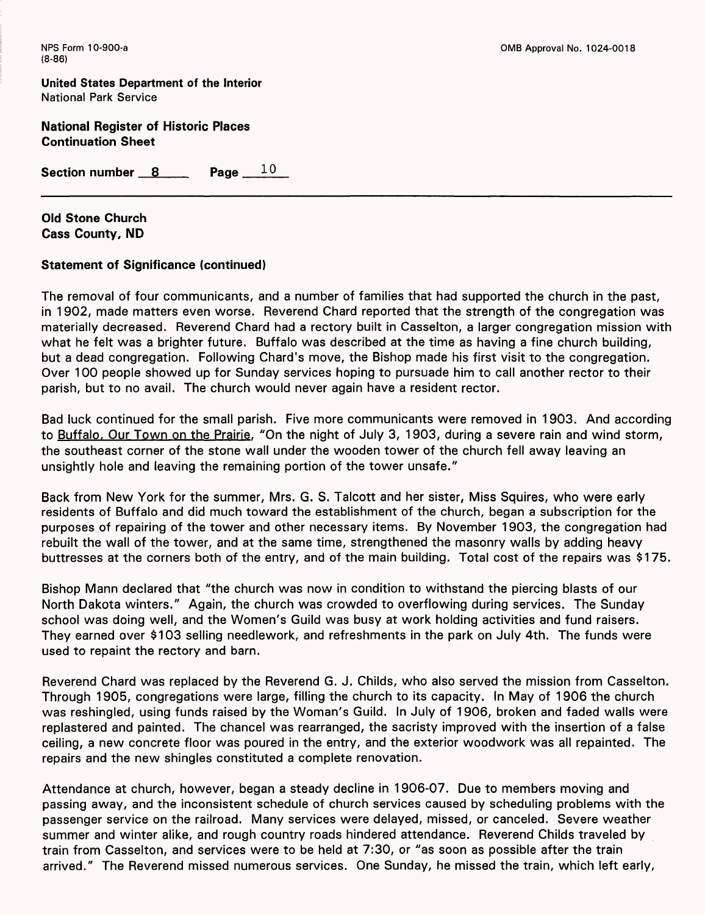**United States Department of the Interior** National Park Service

**National Register of Historic Places Continuation Sheet**

Section number 8 Page 10

**Old Stone Church Cass County, ND**

# **Statement of Significance (continued)**

The removal of four communicants, and a number of families that had supported the church in the past, in 1902, made matters even worse. Reverend Chard reported that the strength of the congregation was materially decreased. Reverend Chard had a rectory built in Casselton, a larger congregation mission with what he felt was a brighter future. Buffalo was described at the time as having a fine church building, but a dead congregation. Following Chard's move, the Bishop made his first visit to the congregation. Over 100 people showed up for Sunday services hoping to pursuade him to call another rector to their parish, but to no avail. The church would never again have a resident rector.

Bad luck continued for the small parish. Five more communicants were removed in 1903. And according to Buffalo. Our Town on the Prairie. "On the night of July 3, 1903, during a severe rain and wind storm, the southeast corner of the stone wall under the wooden tower of the church fell away leaving an unsightly hole and leaving the remaining portion of the tower unsafe."

Back from New York for the summer, Mrs. G. S. Talcott and her sister, Miss Squires, who were early residents of Buffalo and did much toward the establishment of the church, began a subscription for the purposes of repairing of the tower and other necessary items. By November 1903, the congregation had rebuilt the wall of the tower, and at the same time, strengthened the masonry walls by adding heavy buttresses at the corners both of the entry, and of the main building. Total cost of the repairs was \$175.

Bishop Mann declared that "the church was now in condition to withstand the piercing blasts of our North Dakota winters." Again, the church was crowded to overflowing during services. The Sunday school was doing well, and the Women's Guild was busy at work holding activities and fund raisers. They earned over \$103 selling needlework, and refreshments in the park on July 4th. The funds were used to repaint the rectory and barn.

Reverend Chard was replaced by the Reverend G. J. Childs, who also served the mission from Casselton. Through 1905, congregations were large, filling the church to its capacity. In May of 1906 the church was reshingled, using funds raised by the Woman's Guild. In July of 1906, broken and faded walls were replastered and painted. The chancel was rearranged, the sacristy improved with the insertion of a false ceiling, a new concrete floor was poured in the entry, and the exterior woodwork was all repainted. The repairs and the new shingles constituted a complete renovation.

Attendance at church, however, began a steady decline in 1906-07. Due to members moving and passing away, and the inconsistent schedule of church services caused by scheduling problems with the passenger service on the railroad. Many services were delayed, missed, or canceled. Severe weather summer and winter alike, and rough country roads hindered attendance. Reverend Childs traveled by train from Casselton, and services were to be held at 7:30, or "as soon as possible after the train arrived." The Reverend missed numerous services. One Sunday, he missed the train, which left early,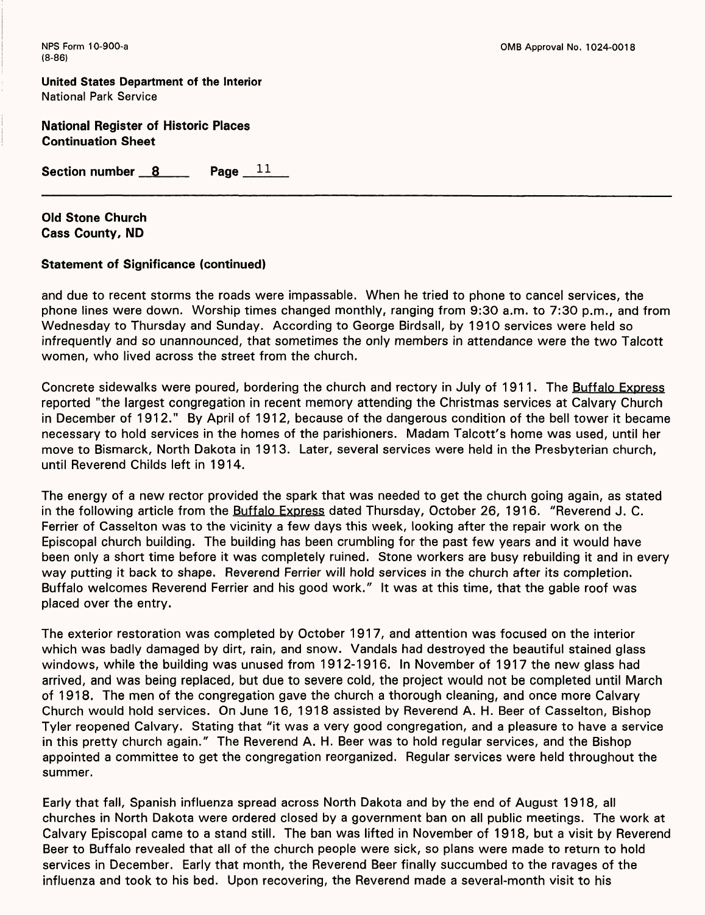**United States Department of the Interior** National Park Service

**National Register of Historic Places Continuation Sheet**

Section number 8 Page 11

**Old Stone Church Cass County, ND**

#### **Statement of Significance (continued)**

and due to recent storms the roads were impassable. When he tried to phone to cancel services, the phone lines were down. Worship times changed monthly, ranging from 9:30 a.m. to 7:30 p.m., and from Wednesday to Thursday and Sunday. According to George Birdsall, by 1910 services were held so infrequently and so unannounced, that sometimes the only members in attendance were the two Talcott women, who lived across the street from the church.

Concrete sidewalks were poured, bordering the church and rectory in July of 1911. The Buffalo Express reported "the largest congregation in recent memory attending the Christmas services at Calvary Church in December of 1912." By April of 1912, because of the dangerous condition of the bell tower it became necessary to hold services in the homes of the parishioners. Madam Talcott's home was used, until her move to Bismarck, North Dakota in 1913. Later, several services were held in the Presbyterian church, until Reverend Childs left in 1914.

The energy of a new rector provided the spark that was needed to get the church going again, as stated in the following article from the Buffalo Express dated Thursday, October 26, 1916. "Reverend J. C. Ferrier of Casselton was to the vicinity a few days this week, looking after the repair work on the Episcopal church building. The building has been crumbling for the past few years and it would have been only a short time before it was completely ruined. Stone workers are busy rebuilding it and in every way putting it back to shape. Reverend Ferrier will hold services in the church after its completion. Buffalo welcomes Reverend Ferrier and his good work." It was at this time, that the gable roof was placed over the entry.

The exterior restoration was completed by October 1917, and attention was focused on the interior which was badly damaged by dirt, rain, and snow. Vandals had destroyed the beautiful stained glass windows, while the building was unused from 1912-1916. In November of 1917 the new glass had arrived, and was being replaced, but due to severe cold, the project would not be completed until March of 1918. The men of the congregation gave the church a thorough cleaning, and once more Calvary Church would hold services. On June 16, 1918 assisted by Reverend A. H. Beer of Casselton, Bishop Tyler reopened Calvary. Stating that "it was a very good congregation, and a pleasure to have a service in this pretty church again." The Reverend A. H. Beer was to hold regular services, and the Bishop appointed a committee to get the congregation reorganized. Regular services were held throughout the summer.

Early that fall, Spanish influenza spread across North Dakota and by the end of August 1918, all churches in North Dakota were ordered closed by a government ban on all public meetings. The work at Calvary Episcopal came to a stand still. The ban was lifted in November of 1918, but a visit by Reverend Beer to Buffalo revealed that all of the church people were sick, so plans were made to return to hold services in December. Early that month, the Reverend Beer finally succumbed to the ravages of the influenza and took to his bed. Upon recovering, the Reverend made a several-month visit to his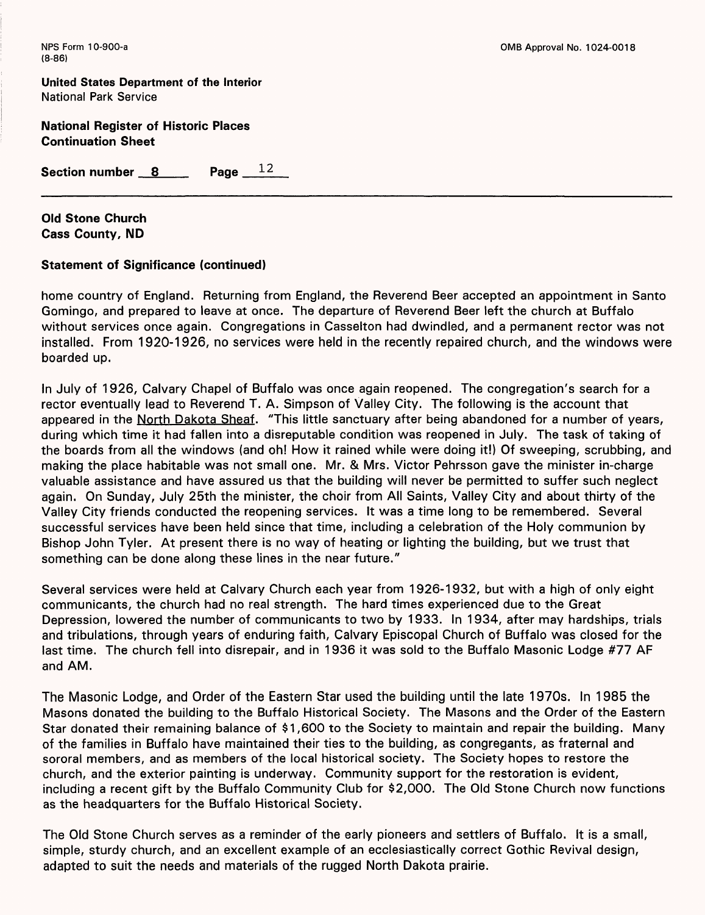**United States Department of the Interior** National Park Service

**National Register of Historic Places Continuation Sheet**

Section number 8 Page 12

**Old Stone Church Cass County, ND**

# **Statement of Significance (continued)**

home country of England. Returning from England, the Reverend Beer accepted an appointment in Santo Gomingo, and prepared to leave at once. The departure of Reverend Beer left the church at Buffalo without services once again. Congregations in Casselton had dwindled, and a permanent rector was not installed. From 1920-1926, no services were held in the recently repaired church, and the windows were boarded up.

In July of 1926, Calvary Chapel of Buffalo was once again reopened. The congregation's search for a rector eventually lead to Reverend T. A. Simpson of Valley City. The following is the account that appeared in the North Dakota Sheaf. "This little sanctuary after being abandoned for a number of years, during which time it had fallen into a disreputable condition was reopened in July. The task of taking of the boards from all the windows (and oh! How it rained while were doing it!) Of sweeping, scrubbing, and making the place habitable was not small one. Mr. & Mrs. Victor Pehrsson gave the minister in-charge valuable assistance and have assured us that the building will never be permitted to suffer such neglect again. On Sunday, July 25th the minister, the choir from All Saints, Valley City and about thirty of the Valley City friends conducted the reopening services. It was a time long to be remembered. Several successful services have been held since that time, including a celebration of the Holy communion by Bishop John Tyler. At present there is no way of heating or lighting the building, but we trust that something can be done along these lines in the near future."

Several services were held at Calvary Church each year from 1926-1932, but with a high of only eight communicants, the church had no real strength. The hard times experienced due to the Great Depression, lowered the number of communicants to two by 1933. In 1934, after may hardships, trials and tribulations, through years of enduring faith, Calvary Episcopal Church of Buffalo was closed for the last time. The church fell into disrepair, and in 1936 it was sold to the Buffalo Masonic Lodge #77 AF and AM.

The Masonic Lodge, and Order of the Eastern Star used the building until the late 1970s. In 1985 the Masons donated the building to the Buffalo Historical Society. The Masons and the Order of the Eastern Star donated their remaining balance of \$1,600 to the Society to maintain and repair the building. Many of the families in Buffalo have maintained their ties to the building, as congregants, as fraternal and sororal members, and as members of the local historical society. The Society hopes to restore the church, and the exterior painting is underway. Community support for the restoration is evident, including a recent gift by the Buffalo Community Club for \$2,000. The Old Stone Church now functions as the headquarters for the Buffalo Historical Society.

The Old Stone Church serves as a reminder of the early pioneers and settlers of Buffalo. It is a small, simple, sturdy church, and an excellent example of an ecclesiastically correct Gothic Revival design, adapted to suit the needs and materials of the rugged North Dakota prairie.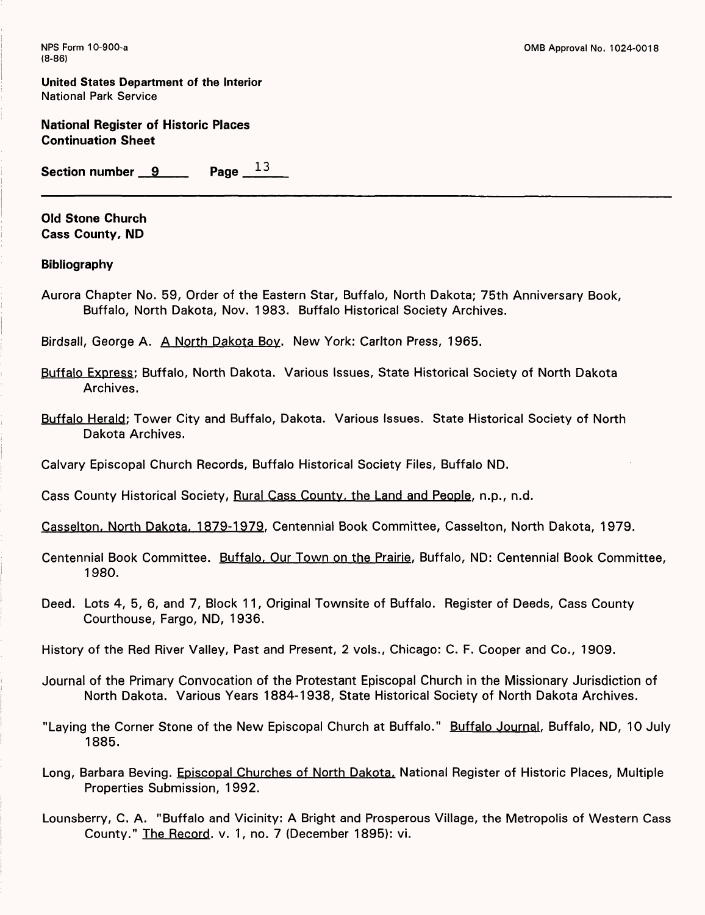**United States Department of the Interior** National Park Service

**National Register of Historic Places Continuation Sheet**

**Section number 9 Page 13** 

**Old Stone Church Cass County, ND**

#### **Bibliography**

Aurora Chapter No. 59, Order of the Eastern Star, Buffalo, North Dakota; 75th Anniversary Book, Buffalo, North Dakota, Nov. 1983. Buffalo Historical Society Archives.

Birdsall, George A. A North Dakota Boy. New York: Carlton Press, 1965.

- Buffalo Express: Buffalo, North Dakota. Various Issues, State Historical Society of North Dakota Archives.
- Buffalo Herald: Tower City and Buffalo, Dakota. Various Issues. State Historical Society of North Dakota Archives.

Calvary Episcopal Church Records, Buffalo Historical Society Files, Buffalo ND.

Cass County Historical Society, Rural Cass County, the Land and People, n.p., n.d.

Casselton. North Dakota. 1879-1979. Centennial Book Committee, Casselton, North Dakota, 1979.

Centennial Book Committee. Buffalo, Our Town on the Prairie, Buffalo, ND: Centennial Book Committee, 1980.

Deed. Lots 4, 5, 6, and 7, Block 11, Original Townsite of Buffalo. Register of Deeds, Cass County Courthouse, Fargo, ND, 1936.

History of the Red River Valley, Past and Present, 2 vols., Chicago: C. F. Cooper and Co., 1909.

- Journal of the Primary Convocation of the Protestant Episcopal Church in the Missionary Jurisdiction of North Dakota. Various Years 1884-1938, State Historical Society of North Dakota Archives.
- "Laying the Corner Stone of the New Episcopal Church at Buffalo." Buffalo Journal, Buffalo, ND, 10 July 1885.
- Long, Barbara Beving. Episcopal Churches of North Dakota, National Register of Historic Places, Multiple Properties Submission, 1992.
- Lounsberry, C. A. "Buffalo and Vicinity: A Bright and Prosperous Village, the Metropolis of Western Cass County." The Record, v. 1, no. 7 (December 1895): vi.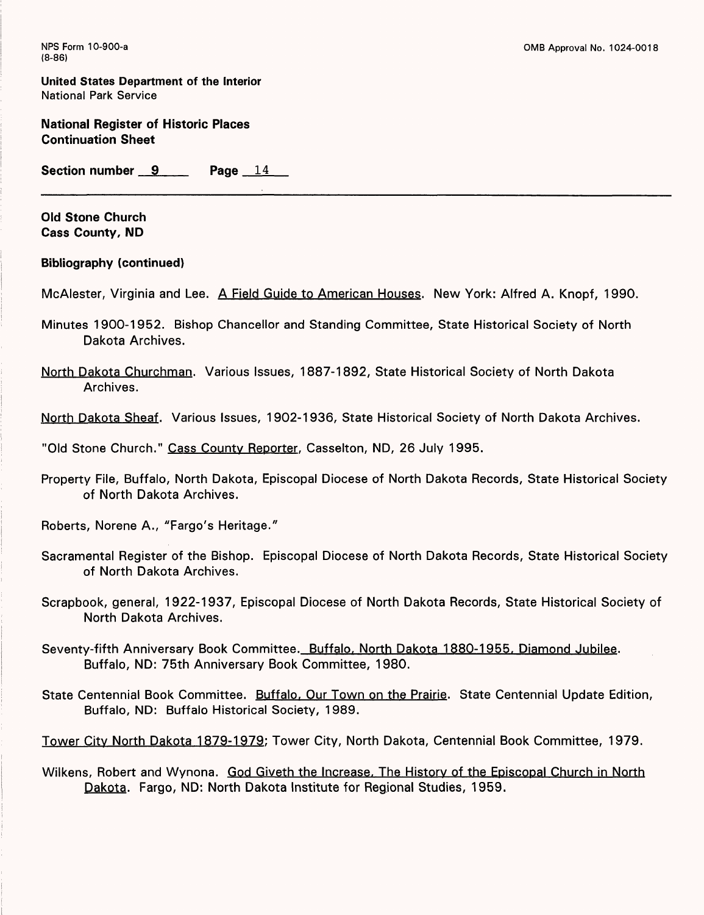**United States Department of the Interior** National Park Service

**National Register of Historic Places Continuation Sheet**

**Section number 9 Page** 14

**Old Stone Church Cass County, ND**

**Bibliography (continued)**

McAlester, Virginia and Lee. A Field Guide to American Houses. New York: Alfred A. Knopf, 1990.

- Minutes 1900-1952. Bishop Chancellor and Standing Committee, State Historical Society of North Dakota Archives.
- North Dakota Churchman. Various Issues, 1887-1892, State Historical Society of North Dakota Archives.

North Dakota Sheaf. Various Issues, 1902-1936, State Historical Society of North Dakota Archives.

"Old Stone Church." Cass County Reporter, Casselton, ND, 26 July 1995.

Property File, Buffalo, North Dakota, Episcopal Diocese of North Dakota Records, State Historical Society of North Dakota Archives.

Roberts, Norene A., "Fargo's Heritage."

- Sacramental Register of the Bishop. Episcopal Diocese of North Dakota Records, State Historical Society of North Dakota Archives.
- Scrapbook, general, 1922-1937, Episcopal Diocese of North Dakota Records, State Historical Society of North Dakota Archives.
- Seventy-fifth Anniversary Book Committee. Buffalo, North Dakota 1880-1955. Diamond Jubilee. Buffalo, ND: 75th Anniversary Book Committee, 1980.
- State Centennial Book Committee. Buffalo, Our Town on the Prairie. State Centennial Update Edition, Buffalo, ND: Buffalo Historical Society, 1989.

Tower City North Dakota 1879-1979: Tower City, North Dakota, Centennial Book Committee, 1979.

Wilkens, Robert and Wynona. God Giveth the Increase. The History of the Episcopal Church in North Dakota. Fargo, ND: North Dakota Institute for Regional Studies, 1959.